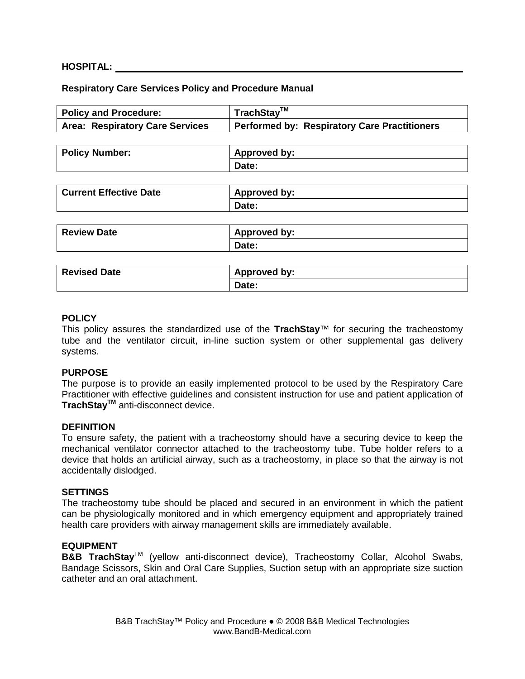### **HOSPITAL:**

#### **Respiratory Care Services Policy and Procedure Manual**

| <b>Policy and Procedure:</b>           | TrachStay™                                          |
|----------------------------------------|-----------------------------------------------------|
| <b>Area: Respiratory Care Services</b> | <b>Performed by: Respiratory Care Practitioners</b> |
|                                        |                                                     |
| <b>Policy Number:</b>                  | <b>Approved by:</b>                                 |
|                                        | Date:                                               |
|                                        |                                                     |
| <b>Current Effective Date</b>          | <b>Approved by:</b>                                 |
|                                        | Date:                                               |
|                                        |                                                     |
| <b>Review Date</b>                     | <b>Approved by:</b>                                 |
|                                        | Date:                                               |
|                                        |                                                     |
| <b>Revised Date</b>                    | <b>Approved by:</b>                                 |
|                                        | Date:                                               |
|                                        |                                                     |

### **POLICY**

This policy assures the standardized use of the **TrachStay**™ for securing the tracheostomy tube and the ventilator circuit, in-line suction system or other supplemental gas delivery systems.

#### **PURPOSE**

The purpose is to provide an easily implemented protocol to be used by the Respiratory Care Practitioner with effective guidelines and consistent instruction for use and patient application of **TrachStayTM** anti-disconnect device.

#### **DEFINITION**

To ensure safety, the patient with a tracheostomy should have a securing device to keep the mechanical ventilator connector attached to the tracheostomy tube. Tube holder refers to a device that holds an artificial airway, such as a tracheostomy, in place so that the airway is not accidentally dislodged.

#### **SETTINGS**

The tracheostomy tube should be placed and secured in an environment in which the patient can be physiologically monitored and in which emergency equipment and appropriately trained health care providers with airway management skills are immediately available.

#### **EQUIPMENT**

**B&B TrachStay**<sup>™</sup> (yellow anti-disconnect device), Tracheostomy Collar, Alcohol Swabs, Bandage Scissors, Skin and Oral Care Supplies, Suction setup with an appropriate size suction catheter and an oral attachment.